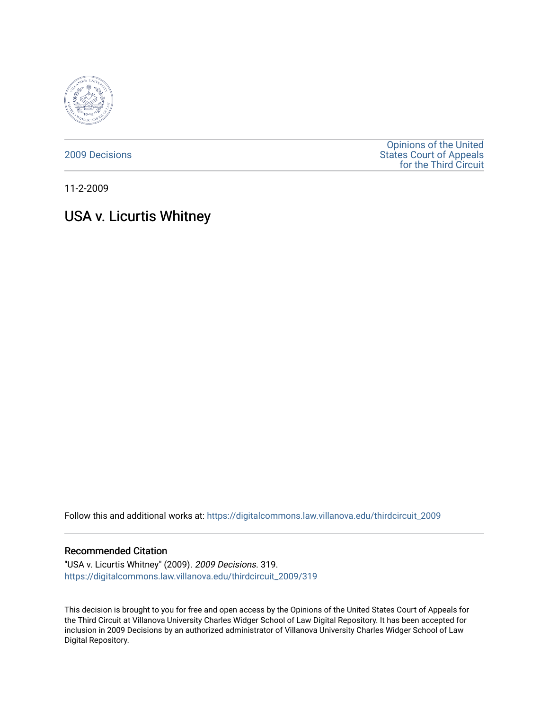

[2009 Decisions](https://digitalcommons.law.villanova.edu/thirdcircuit_2009)

[Opinions of the United](https://digitalcommons.law.villanova.edu/thirdcircuit)  [States Court of Appeals](https://digitalcommons.law.villanova.edu/thirdcircuit)  [for the Third Circuit](https://digitalcommons.law.villanova.edu/thirdcircuit) 

11-2-2009

# USA v. Licurtis Whitney

Follow this and additional works at: [https://digitalcommons.law.villanova.edu/thirdcircuit\\_2009](https://digitalcommons.law.villanova.edu/thirdcircuit_2009?utm_source=digitalcommons.law.villanova.edu%2Fthirdcircuit_2009%2F319&utm_medium=PDF&utm_campaign=PDFCoverPages) 

### Recommended Citation

"USA v. Licurtis Whitney" (2009). 2009 Decisions. 319. [https://digitalcommons.law.villanova.edu/thirdcircuit\\_2009/319](https://digitalcommons.law.villanova.edu/thirdcircuit_2009/319?utm_source=digitalcommons.law.villanova.edu%2Fthirdcircuit_2009%2F319&utm_medium=PDF&utm_campaign=PDFCoverPages)

This decision is brought to you for free and open access by the Opinions of the United States Court of Appeals for the Third Circuit at Villanova University Charles Widger School of Law Digital Repository. It has been accepted for inclusion in 2009 Decisions by an authorized administrator of Villanova University Charles Widger School of Law Digital Repository.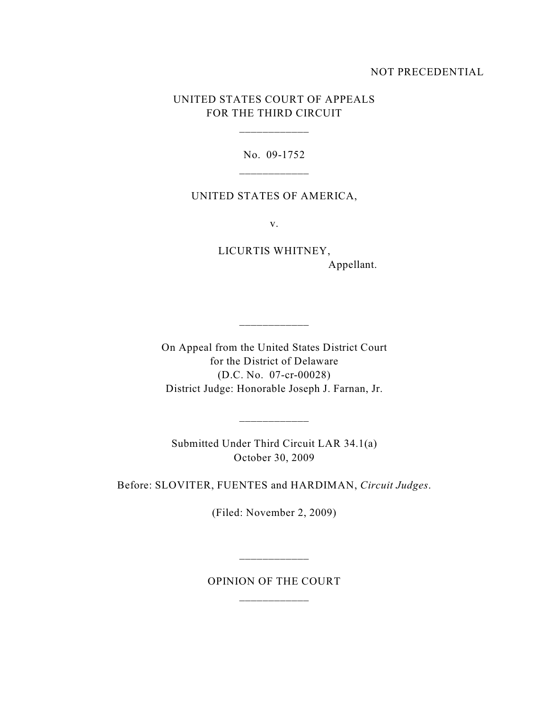## NOT PRECEDENTIAL

## UNITED STATES COURT OF APPEALS FOR THE THIRD CIRCUIT

\_\_\_\_\_\_\_\_\_\_\_\_

No. 09-1752

### UNITED STATES OF AMERICA,

v.

LICURTIS WHITNEY, Appellant.

On Appeal from the United States District Court for the District of Delaware (D.C. No. 07-cr-00028) District Judge: Honorable Joseph J. Farnan, Jr.

\_\_\_\_\_\_\_\_\_\_\_\_

Submitted Under Third Circuit LAR 34.1(a) October 30, 2009

\_\_\_\_\_\_\_\_\_\_\_\_

Before: SLOVITER, FUENTES and HARDIMAN, *Circuit Judges*.

(Filed: November 2, 2009)

OPINION OF THE COURT

\_\_\_\_\_\_\_\_\_\_\_\_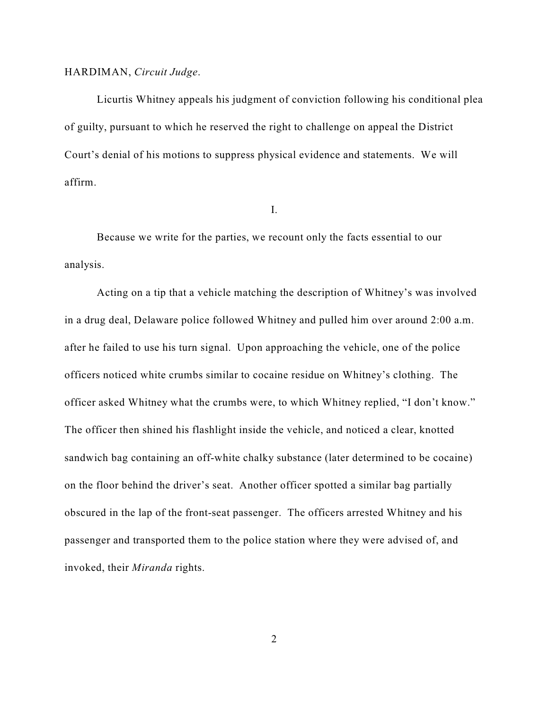### HARDIMAN, *Circuit Judge*.

Licurtis Whitney appeals his judgment of conviction following his conditional plea of guilty, pursuant to which he reserved the right to challenge on appeal the District Court's denial of his motions to suppress physical evidence and statements. We will affirm.

I.

Because we write for the parties, we recount only the facts essential to our analysis.

Acting on a tip that a vehicle matching the description of Whitney's was involved in a drug deal, Delaware police followed Whitney and pulled him over around 2:00 a.m. after he failed to use his turn signal. Upon approaching the vehicle, one of the police officers noticed white crumbs similar to cocaine residue on Whitney's clothing. The officer asked Whitney what the crumbs were, to which Whitney replied, "I don't know." The officer then shined his flashlight inside the vehicle, and noticed a clear, knotted sandwich bag containing an off-white chalky substance (later determined to be cocaine) on the floor behind the driver's seat. Another officer spotted a similar bag partially obscured in the lap of the front-seat passenger. The officers arrested Whitney and his passenger and transported them to the police station where they were advised of, and invoked, their *Miranda* rights.

2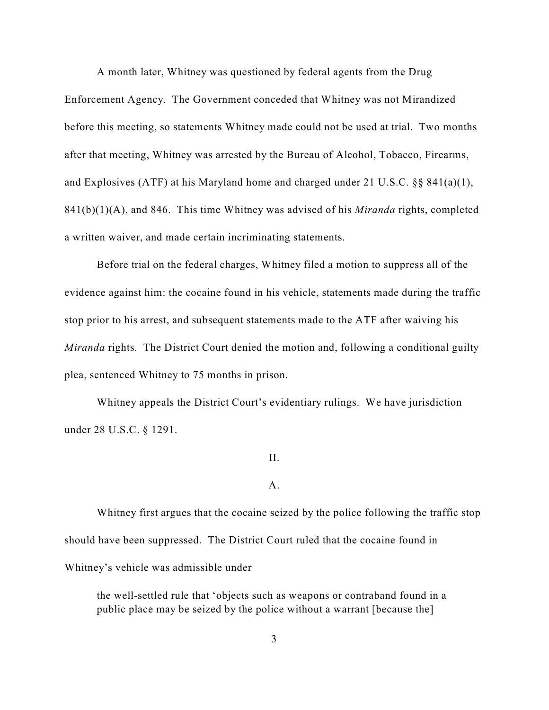A month later, Whitney was questioned by federal agents from the Drug

Enforcement Agency. The Government conceded that Whitney was not Mirandized before this meeting, so statements Whitney made could not be used at trial. Two months after that meeting, Whitney was arrested by the Bureau of Alcohol, Tobacco, Firearms, and Explosives (ATF) at his Maryland home and charged under 21 U.S.C. §§ 841(a)(1), 841(b)(1)(A), and 846. This time Whitney was advised of his *Miranda* rights, completed a written waiver, and made certain incriminating statements.

Before trial on the federal charges, Whitney filed a motion to suppress all of the evidence against him: the cocaine found in his vehicle, statements made during the traffic stop prior to his arrest, and subsequent statements made to the ATF after waiving his *Miranda* rights. The District Court denied the motion and, following a conditional guilty plea, sentenced Whitney to 75 months in prison.

Whitney appeals the District Court's evidentiary rulings. We have jurisdiction under 28 U.S.C. § 1291.

#### II.

### A.

Whitney first argues that the cocaine seized by the police following the traffic stop should have been suppressed. The District Court ruled that the cocaine found in Whitney's vehicle was admissible under

the well-settled rule that 'objects such as weapons or contraband found in a public place may be seized by the police without a warrant [because the]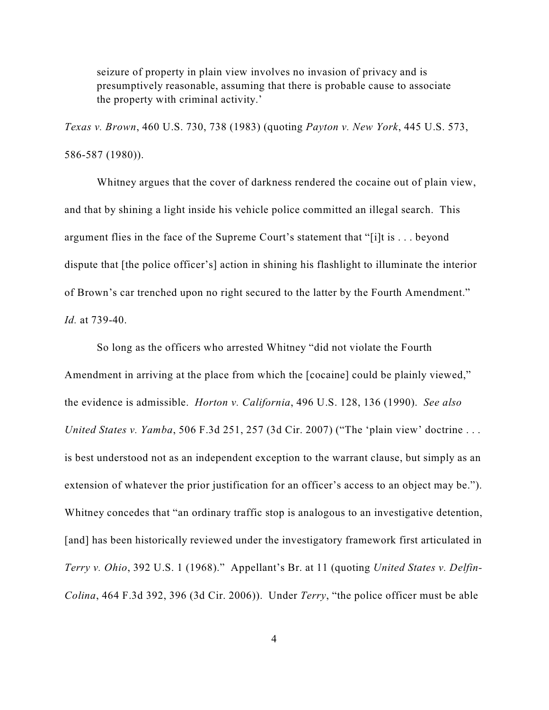seizure of property in plain view involves no invasion of privacy and is presumptively reasonable, assuming that there is probable cause to associate the property with criminal activity.'

*Texas v. Brown*, 460 U.S. 730, 738 (1983) (quoting *Payton v. New York*, 445 U.S. 573, 586-587 (1980)).

Whitney argues that the cover of darkness rendered the cocaine out of plain view, and that by shining a light inside his vehicle police committed an illegal search. This argument flies in the face of the Supreme Court's statement that "[i]t is . . . beyond dispute that [the police officer's] action in shining his flashlight to illuminate the interior of Brown's car trenched upon no right secured to the latter by the Fourth Amendment." *Id.* at 739-40.

So long as the officers who arrested Whitney "did not violate the Fourth Amendment in arriving at the place from which the [cocaine] could be plainly viewed," the evidence is admissible. *Horton v. California*, 496 U.S. 128, 136 (1990). *See also United States v. Yamba*, 506 F.3d 251, 257 (3d Cir. 2007) ("The 'plain view' doctrine . . . is best understood not as an independent exception to the warrant clause, but simply as an extension of whatever the prior justification for an officer's access to an object may be."). Whitney concedes that "an ordinary traffic stop is analogous to an investigative detention, [and] has been historically reviewed under the investigatory framework first articulated in *Terry v. Ohio*, 392 U.S. 1 (1968)." Appellant's Br. at 11 (quoting *United States v. Delfin-Colina*, 464 F.3d 392, 396 (3d Cir. 2006)). Under *Terry*, "the police officer must be able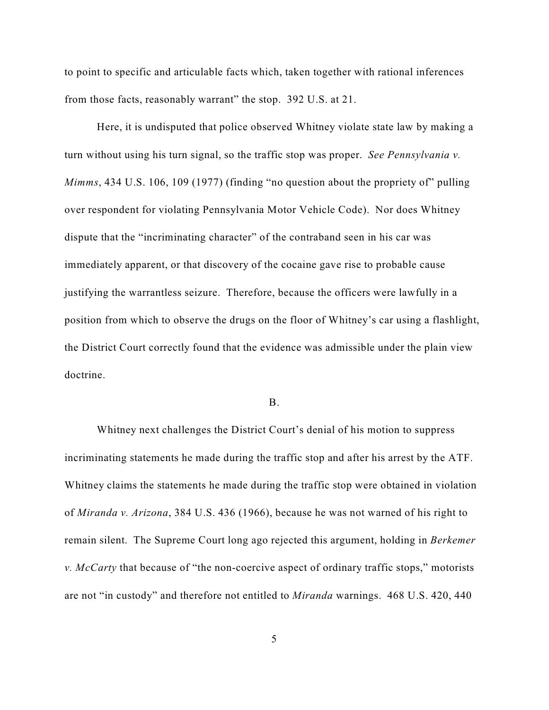to point to specific and articulable facts which, taken together with rational inferences from those facts, reasonably warrant" the stop. 392 U.S. at 21.

Here, it is undisputed that police observed Whitney violate state law by making a turn without using his turn signal, so the traffic stop was proper. *See Pennsylvania v. Mimms*, 434 U.S. 106, 109 (1977) (finding "no question about the propriety of" pulling over respondent for violating Pennsylvania Motor Vehicle Code). Nor does Whitney dispute that the "incriminating character" of the contraband seen in his car was immediately apparent, or that discovery of the cocaine gave rise to probable cause justifying the warrantless seizure. Therefore, because the officers were lawfully in a position from which to observe the drugs on the floor of Whitney's car using a flashlight, the District Court correctly found that the evidence was admissible under the plain view doctrine.

#### B.

Whitney next challenges the District Court's denial of his motion to suppress incriminating statements he made during the traffic stop and after his arrest by the ATF. Whitney claims the statements he made during the traffic stop were obtained in violation of *Miranda v. Arizona*, 384 U.S. 436 (1966), because he was not warned of his right to remain silent. The Supreme Court long ago rejected this argument, holding in *Berkemer v. McCarty* that because of "the non-coercive aspect of ordinary traffic stops," motorists are not "in custody" and therefore not entitled to *Miranda* warnings. 468 U.S. 420, 440